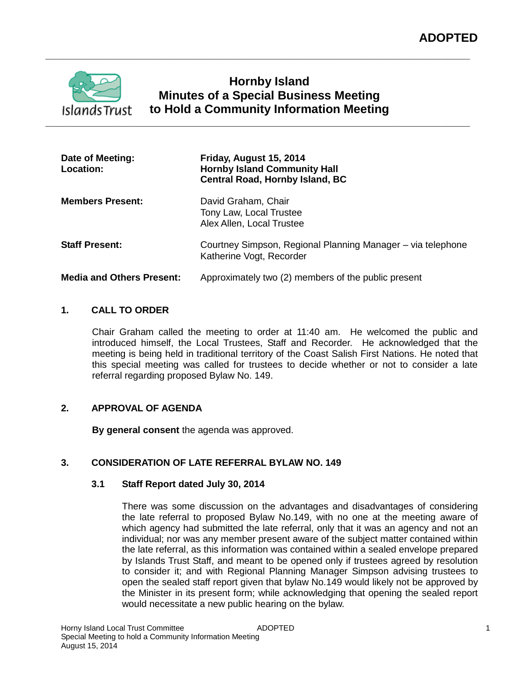

# **Hornby Island Minutes of a Special Business Meeting to Hold a Community Information Meeting**

**\_\_\_\_\_\_\_\_\_\_\_\_\_\_\_\_\_\_\_\_\_\_\_\_\_\_\_\_\_\_\_\_\_\_\_\_\_\_\_\_\_\_\_\_\_\_\_\_\_\_\_\_\_\_\_\_\_\_\_\_\_\_\_\_\_\_\_\_\_\_\_\_\_\_**

| Date of Meeting:<br>Location:    | Friday, August 15, 2014<br><b>Hornby Island Community Hall</b><br><b>Central Road, Hornby Island, BC</b> |
|----------------------------------|----------------------------------------------------------------------------------------------------------|
| <b>Members Present:</b>          | David Graham, Chair<br>Tony Law, Local Trustee<br>Alex Allen, Local Trustee                              |
| <b>Staff Present:</b>            | Courtney Simpson, Regional Planning Manager – via telephone<br>Katherine Vogt, Recorder                  |
| <b>Media and Others Present:</b> | Approximately two (2) members of the public present                                                      |

### **1. CALL TO ORDER**

Chair Graham called the meeting to order at 11:40 am. He welcomed the public and introduced himself, the Local Trustees, Staff and Recorder. He acknowledged that the meeting is being held in traditional territory of the Coast Salish First Nations. He noted that this special meeting was called for trustees to decide whether or not to consider a late referral regarding proposed Bylaw No. 149.

# **2. APPROVAL OF AGENDA**

**By general consent** the agenda was approved.

# **3. CONSIDERATION OF LATE REFERRAL BYLAW NO. 149**

# **3.1 Staff Report dated July 30, 2014**

There was some discussion on the advantages and disadvantages of considering the late referral to proposed Bylaw No.149, with no one at the meeting aware of which agency had submitted the late referral, only that it was an agency and not an individual; nor was any member present aware of the subject matter contained within the late referral, as this information was contained within a sealed envelope prepared by Islands Trust Staff, and meant to be opened only if trustees agreed by resolution to consider it; and with Regional Planning Manager Simpson advising trustees to open the sealed staff report given that bylaw No.149 would likely not be approved by the Minister in its present form; while acknowledging that opening the sealed report would necessitate a new public hearing on the bylaw.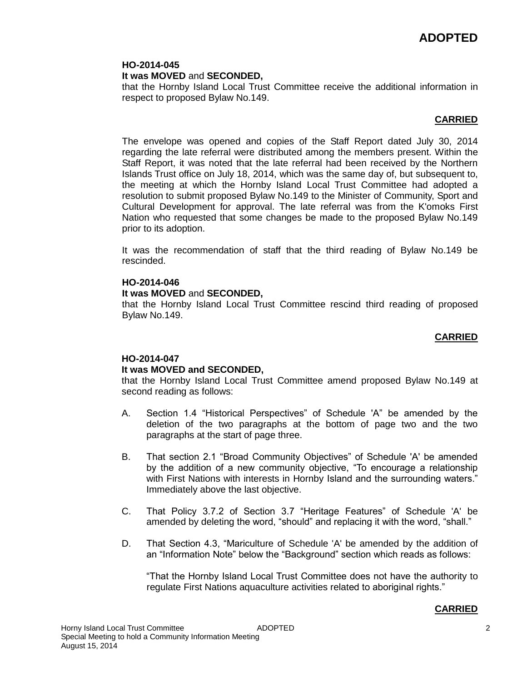### **HO-2014-045 It was MOVED** and **SECONDED,**

that the Hornby Island Local Trust Committee receive the additional information in respect to proposed Bylaw No.149.

# **CARRIED**

The envelope was opened and copies of the Staff Report dated July 30, 2014 regarding the late referral were distributed among the members present. Within the Staff Report, it was noted that the late referral had been received by the Northern Islands Trust office on July 18, 2014, which was the same day of, but subsequent to, the meeting at which the Hornby Island Local Trust Committee had adopted a resolution to submit proposed Bylaw No.149 to the Minister of Community, Sport and Cultural Development for approval. The late referral was from the K'omoks First Nation who requested that some changes be made to the proposed Bylaw No.149 prior to its adoption.

It was the recommendation of staff that the third reading of Bylaw No.149 be rescinded.

### **HO-2014-046**

#### **It was MOVED** and **SECONDED,**

that the Hornby Island Local Trust Committee rescind third reading of proposed Bylaw No.149.

### **CARRIED**

# **HO-2014-047**

# **It was MOVED and SECONDED,**

that the Hornby Island Local Trust Committee amend proposed Bylaw No.149 at second reading as follows:

- A. Section 1.4 "Historical Perspectives" of Schedule 'A" be amended by the deletion of the two paragraphs at the bottom of page two and the two paragraphs at the start of page three.
- B. That section 2.1 "Broad Community Objectives" of Schedule 'A' be amended by the addition of a new community objective, "To encourage a relationship with First Nations with interests in Hornby Island and the surrounding waters." Immediately above the last objective.
- C. That Policy 3.7.2 of Section 3.7 "Heritage Features" of Schedule 'A' be amended by deleting the word, "should" and replacing it with the word, "shall."
- D. That Section 4.3, "Mariculture of Schedule 'A' be amended by the addition of an "Information Note" below the "Background" section which reads as follows:

"That the Hornby Island Local Trust Committee does not have the authority to regulate First Nations aquaculture activities related to aboriginal rights."

#### **CARRIED**